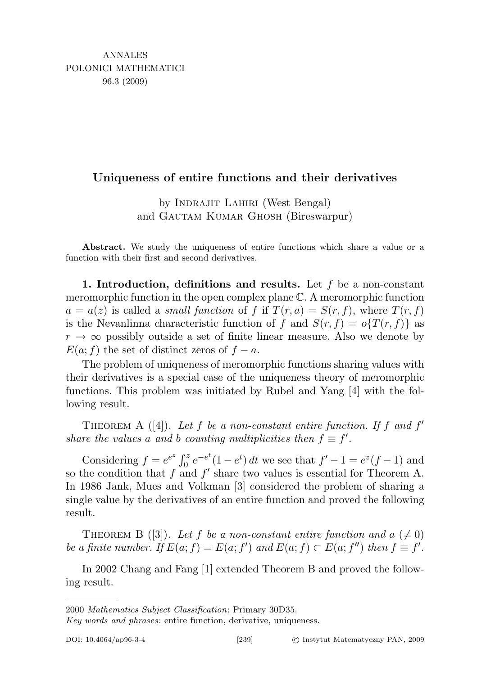## Uniqueness of entire functions and their derivatives

by Indrajit Lahiri (West Bengal) and Gautam Kumar Ghosh (Bireswarpur)

Abstract. We study the uniqueness of entire functions which share a value or a function with their first and second derivatives.

1. Introduction, definitions and results. Let  $f$  be a non-constant meromorphic function in the open complex plane C. A meromorphic function  $a = a(z)$  is called a *small function* of f if  $T(r, a) = S(r, f)$ , where  $T(r, f)$ is the Nevanlinna characteristic function of f and  $S(r, f) = o\{T(r, f)\}\)$  as  $r \to \infty$  possibly outside a set of finite linear measure. Also we denote by  $E(a; f)$  the set of distinct zeros of  $f - a$ .

The problem of uniqueness of meromorphic functions sharing values with their derivatives is a special case of the uniqueness theory of meromorphic functions. This problem was initiated by Rubel and Yang [4] with the following result.

THEOREM A ([4]). Let f be a non-constant entire function. If f and  $f'$ share the values a and b counting multiplicities then  $f \equiv f'$ .

Considering  $f = e^{e^z} \int_0^z e^{-e^t} (1 - e^t) dt$  we see that  $f' - 1 = e^z (f - 1)$  and so the condition that  $f$  and  $f'$  share two values is essential for Theorem A. In 1986 Jank, Mues and Volkman [3] considered the problem of sharing a single value by the derivatives of an entire function and proved the following result.

THEOREM B ([3]). Let f be a non-constant entire function and  $a \neq 0$ ) be a finite number. If  $E(a; f) = E(a; f')$  and  $E(a; f) \subset E(a; f'')$  then  $f \equiv f'$ .

In 2002 Chang and Fang [1] extended Theorem B and proved the following result.

<sup>2000</sup> Mathematics Subject Classification: Primary 30D35.

Key words and phrases: entire function, derivative, uniqueness.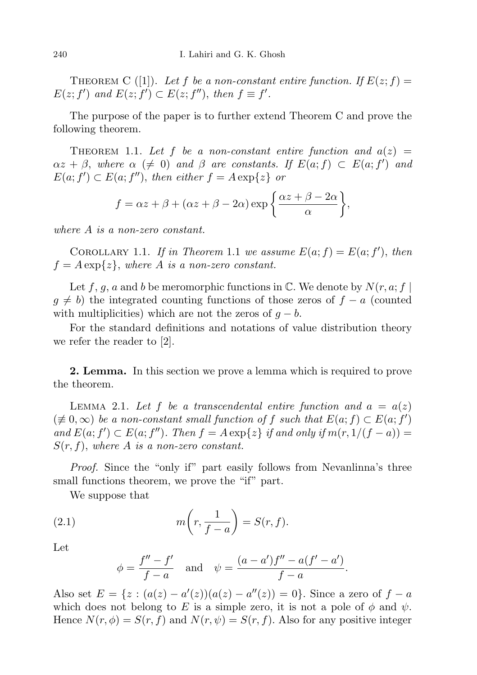THEOREM C ([1]). Let f be a non-constant entire function. If  $E(z; f) =$  $E(z; f')$  and  $E(z; f') \subset E(z; f'')$ , then  $f \equiv f'$ .

The purpose of the paper is to further extend Theorem C and prove the following theorem.

THEOREM 1.1. Let f be a non-constant entire function and  $a(z)$  =  $\alpha z + \beta$ , where  $\alpha \ (\neq 0)$  and  $\beta$  are constants. If  $E(a; f) \subset E(a; f')$  and  $E(a; f') \subset E(a; f'')$ , then either  $f = A \exp\{z\}$  or

$$
f = \alpha z + \beta + (\alpha z + \beta - 2\alpha) \exp\left\{\frac{\alpha z + \beta - 2\alpha}{\alpha}\right\},\,
$$

where A is a non-zero constant.

COROLLARY 1.1. If in Theorem 1.1 we assume  $E(a; f) = E(a; f')$ , then  $f = A \exp\{z\}$ , where A is a non-zero constant.

Let f, g, a and b be meromorphic functions in  $\mathbb{C}$ . We denote by  $N(r, a; f)$  $g \neq b$ ) the integrated counting functions of those zeros of  $f - a$  (counted with multiplicities) which are not the zeros of  $q - b$ .

For the standard definitions and notations of value distribution theory we refer the reader to [2].

2. Lemma. In this section we prove a lemma which is required to prove the theorem.

LEMMA 2.1. Let f be a transcendental entire function and  $a = a(z)$  $(\neq 0, \infty)$  be a non-constant small function of f such that  $E(a; f) \subset E(a; f')$ and  $E(a; f') \subset E(a; f'')$ . Then  $f = A \exp\{z\}$  if and only if  $m(r, 1/(f - a)) =$  $S(r, f)$ , where A is a non-zero constant.

Proof. Since the "only if" part easily follows from Nevanlinna's three small functions theorem, we prove the "if" part.

We suppose that

(2.1) 
$$
m\left(r,\frac{1}{f-a}\right) = S(r,f).
$$

Let

$$
\phi = \frac{f'' - f'}{f - a}
$$
 and  $\psi = \frac{(a - a')f'' - a(f' - a')}{f - a}$ .

Also set  $E = \{z : (a(z) - a'(z))(a(z) - a''(z)) = 0\}$ . Since a zero of  $f - a$ which does not belong to E is a simple zero, it is not a pole of  $\phi$  and  $\psi$ . Hence  $N(r, \phi) = S(r, f)$  and  $N(r, \psi) = S(r, f)$ . Also for any positive integer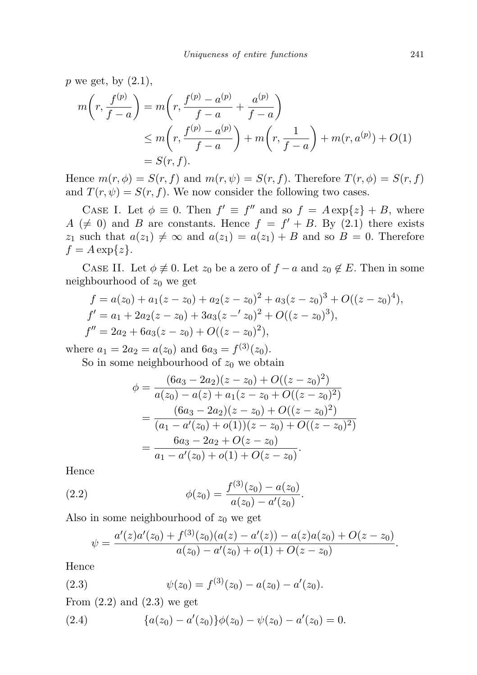p we get, by  $(2.1)$ ,

$$
m\left(r, \frac{f^{(p)}}{f-a}\right) = m\left(r, \frac{f^{(p)} - a^{(p)}}{f-a} + \frac{a^{(p)}}{f-a}\right)
$$
  
\$\le m\left(r, \frac{f^{(p)} - a^{(p)}}{f-a}\right) + m\left(r, \frac{1}{f-a}\right) + m(r, a^{(p)}) + O(1)\$  
= S(r, f).

Hence  $m(r, \phi) = S(r, f)$  and  $m(r, \psi) = S(r, f)$ . Therefore  $T(r, \phi) = S(r, f)$ and  $T(r, \psi) = S(r, f)$ . We now consider the following two cases.

CASE I. Let  $\phi \equiv 0$ . Then  $f' \equiv f''$  and so  $f = A \exp\{z\} + B$ , where  $A \neq 0$  and B are constants. Hence  $f = f' + B$ . By (2.1) there exists  $z_1$  such that  $a(z_1) \neq \infty$  and  $a(z_1) = a(z_1) + B$  and so  $B = 0$ . Therefore  $f = A \exp\{z\}.$ 

CASE II. Let  $\phi \neq 0$ . Let  $z_0$  be a zero of  $f - a$  and  $z_0 \notin E$ . Then in some neighbourhood of  $z_0$  we get

$$
f = a(z0) + a1(z - z0) + a2(z - z0)2 + a3(z - z0)3 + O((z - z0)4),\nf' = a1 + 2a2(z - z0) + 3a3(z - 'z0)2 + O((z - z0)3),\nf'' = 2a2 + 6a3(z - z0) + O((z - z0)2),
$$

where  $a_1 = 2a_2 = a(z_0)$  and  $6a_3 = f^{(3)}(z_0)$ .

So in some neighbourhood of  $z_0$  we obtain

$$
\phi = \frac{(6a_3 - 2a_2)(z - z_0) + O((z - z_0)^2)}{a(z_0) - a(z) + a_1(z - z_0 + O((z - z_0)^2)}
$$
  
= 
$$
\frac{(6a_3 - 2a_2)(z - z_0) + O((z - z_0)^2)}{(a_1 - a'(z_0) + o(1))(z - z_0) + O((z - z_0)^2)}
$$
  
= 
$$
\frac{6a_3 - 2a_2 + O(z - z_0)}{a_1 - a'(z_0) + o(1) + O(z - z_0)}.
$$

Hence

(2.2) 
$$
\phi(z_0) = \frac{f^{(3)}(z_0) - a(z_0)}{a(z_0) - a'(z_0)}.
$$

Also in some neighbourhood of  $z_0$  we get

$$
\psi = \frac{a'(z)a'(z_0) + f^{(3)}(z_0)(a(z) - a'(z)) - a(z)a(z_0) + O(z - z_0)}{a(z_0) - a'(z_0) + o(1) + O(z - z_0)}.
$$

Hence

(2.3) 
$$
\psi(z_0) = f^{(3)}(z_0) - a(z_0) - a'(z_0).
$$

From  $(2.2)$  and  $(2.3)$  we get

(2.4) 
$$
{a(z_0) - a'(z_0)}\phi(z_0) - \psi(z_0) - a'(z_0) = 0.
$$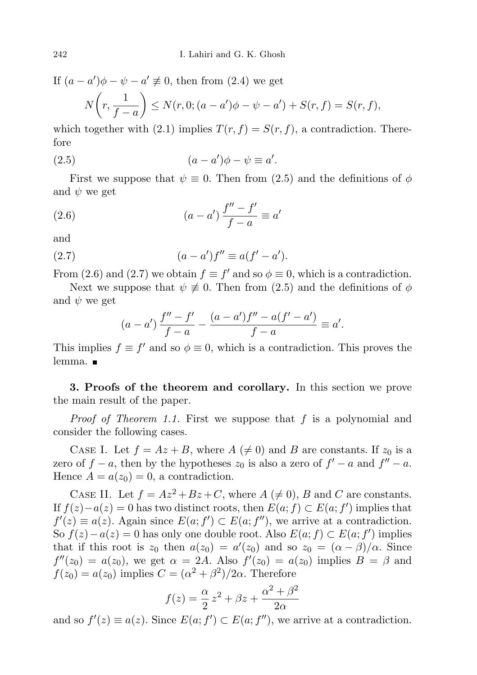If  $(a - a')\phi - \psi - a' \neq 0$ , then from (2.4) we get  $N\left(r,\frac{1}{\epsilon}\right)$  $f - a$  $\Big\}\leq N(r,0;(a-a')\phi-\psi-a')+S(r,f)=S(r,f),$ 

which together with (2.1) implies  $T(r, f) = S(r, f)$ , a contradiction. Therefore

(2.5) 
$$
(a-a')\phi - \psi \equiv a'.
$$

First we suppose that  $\psi \equiv 0$ . Then from (2.5) and the definitions of  $\phi$ and  $\psi$  we get

(2.6) 
$$
(a - a') \frac{f'' - f'}{f - a} \equiv a'
$$

and

(2.7) 
$$
(a - a')f'' \equiv a(f' - a').
$$

From (2.6) and (2.7) we obtain  $f \equiv f'$  and so  $\phi \equiv 0$ , which is a contradiction.

Next we suppose that  $\psi \neq 0$ . Then from (2.5) and the definitions of  $\phi$ and  $\psi$  we get

$$
(a-a')\frac{f''-f'}{f-a} - \frac{(a-a')f''-a(f'-a')}{f-a} \equiv a'.
$$

This implies  $f \equiv f'$  and so  $\phi \equiv 0$ , which is a contradiction. This proves the lemma.

3. Proofs of the theorem and corollary. In this section we prove the main result of the paper.

Proof of Theorem 1.1. First we suppose that f is a polynomial and consider the following cases.

CASE I. Let  $f = Az + B$ , where  $A \neq 0$  and B are constants. If  $z_0$  is a zero of  $f - a$ , then by the hypotheses  $z_0$  is also a zero of  $f' - a$  and  $f'' - a$ . Hence  $A = a(z_0) = 0$ , a contradiction.

CASE II. Let  $f = Az^2 + Bz + C$ , where  $A \neq 0$ , B and C are constants. If  $f(z) - a(z) = 0$  has two distinct roots, then  $E(a; f) \subset E(a; f')$  implies that  $f'(z) \equiv a(z)$ . Again since  $E(a; f') \subset E(a; f'')$ , we arrive at a contradiction. So  $f(z) - a(z) = 0$  has only one double root. Also  $E(a; f) \subset E(a; f')$  implies that if this root is  $z_0$  then  $a(z_0) = a'(z_0)$  and so  $z_0 = (\alpha - \beta)/\alpha$ . Since  $f''(z_0) = a(z_0)$ , we get  $\alpha = 2A$ . Also  $f'(z_0) = a(z_0)$  implies  $B = \beta$  and  $f(z_0) = a(z_0)$  implies  $C = (\alpha^2 + \beta^2)/2\alpha$ . Therefore

$$
f(z) = \frac{\alpha}{2} z^2 + \beta z + \frac{\alpha^2 + \beta^2}{2\alpha}
$$

and so  $f'(z) \equiv a(z)$ . Since  $E(a; f') \subset E(a; f'')$ , we arrive at a contradiction.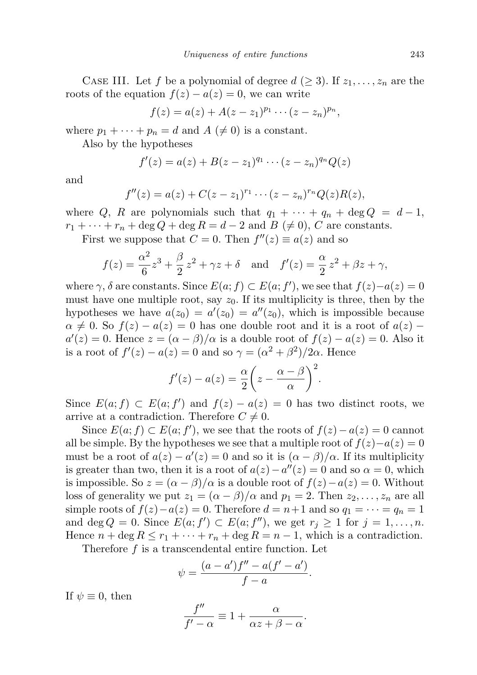CASE III. Let f be a polynomial of degree  $d \geq 3$ . If  $z_1, \ldots, z_n$  are the roots of the equation  $f(z) - a(z) = 0$ , we can write

$$
f(z) = a(z) + A(z - z1)p1 \cdots (z - zn)pn,
$$

where  $p_1 + \cdots + p_n = d$  and  $A \neq 0$  is a constant.

Also by the hypotheses

$$
f'(z) = a(z) + B(z - z_1)^{q_1} \cdots (z - z_n)^{q_n} Q(z)
$$

and

$$
f''(z) = a(z) + C(z - z_1)^{r_1} \cdots (z - z_n)^{r_n} Q(z) R(z),
$$

where Q, R are polynomials such that  $q_1 + \cdots + q_n + \deg Q = d - 1$ ,  $r_1 + \cdots + r_n + \deg Q + \deg R = d - 2$  and  $B \neq 0$ , C are constants.

First we suppose that  $C = 0$ . Then  $f''(z) \equiv a(z)$  and so

$$
f(z) = \frac{\alpha^2}{6}z^3 + \frac{\beta}{2}z^2 + \gamma z + \delta
$$
 and  $f'(z) = \frac{\alpha}{2}z^2 + \beta z + \gamma$ ,

where  $\gamma$ ,  $\delta$  are constants. Since  $E(a; f) \subset E(a; f')$ , we see that  $f(z) - a(z) = 0$ must have one multiple root, say  $z_0$ . If its multiplicity is three, then by the hypotheses we have  $a(z_0) = a'(z_0) = a''(z_0)$ , which is impossible because  $\alpha \neq 0$ . So  $f(z) - a(z) = 0$  has one double root and it is a root of  $a(z)$  –  $a'(z) = 0$ . Hence  $z = (\alpha - \beta)/\alpha$  is a double root of  $f(z) - a(z) = 0$ . Also it is a root of  $f'(z) - a(z) = 0$  and so  $\gamma = (\alpha^2 + \beta^2)/2\alpha$ . Hence

$$
f'(z) - a(z) = \frac{\alpha}{2} \left( z - \frac{\alpha - \beta}{\alpha} \right)^2.
$$

Since  $E(a; f) \subset E(a; f')$  and  $f(z) - a(z) = 0$  has two distinct roots, we arrive at a contradiction. Therefore  $C \neq 0$ .

Since  $E(a; f) \subset E(a; f')$ , we see that the roots of  $f(z) - a(z) = 0$  cannot all be simple. By the hypotheses we see that a multiple root of  $f(z)-a(z)=0$ must be a root of  $a(z) - a'(z) = 0$  and so it is  $(\alpha - \beta)/\alpha$ . If its multiplicity is greater than two, then it is a root of  $a(z) - a''(z) = 0$  and so  $\alpha = 0$ , which is impossible. So  $z = (\alpha - \beta)/\alpha$  is a double root of  $f(z) - a(z) = 0$ . Without loss of generality we put  $z_1 = (\alpha - \beta)/\alpha$  and  $p_1 = 2$ . Then  $z_2, \ldots, z_n$  are all simple roots of  $f(z) - a(z) = 0$ . Therefore  $d = n+1$  and so  $q_1 = \cdots = q_n = 1$ and deg  $Q = 0$ . Since  $E(a; f') \subset E(a; f'')$ , we get  $r_j \geq 1$  for  $j = 1, ..., n$ . Hence  $n + \deg R \leq r_1 + \cdots + r_n + \deg R = n - 1$ , which is a contradiction.

Therefore  $f$  is a transcendental entire function. Let

$$
\psi = \frac{(a-a')f'' - a(f' - a')}{f - a}.
$$

If  $\psi \equiv 0$ , then

$$
\frac{f''}{f'-\alpha} \equiv 1 + \frac{\alpha}{\alpha z + \beta - \alpha}.
$$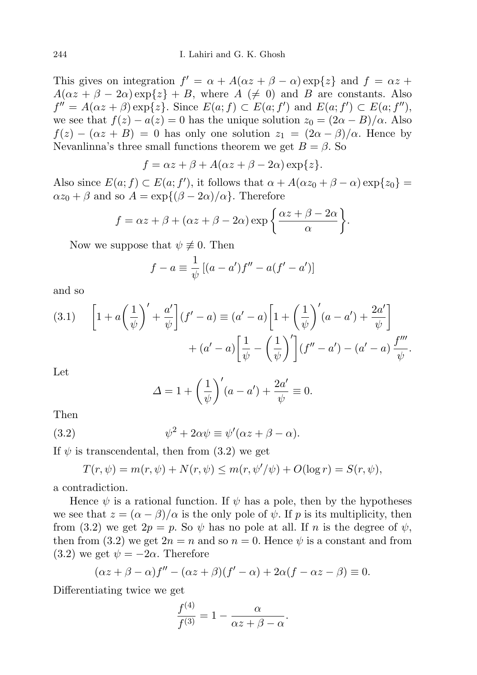This gives on integration  $f' = \alpha + A(\alpha z + \beta - \alpha) \exp\{z\}$  and  $f = \alpha z +$  $A(\alpha z + \beta - 2\alpha) \exp\{z\} + B$ , where  $A \neq 0$  and B are constants. Also  $f'' = A(\alpha z + \beta) \exp\{z\}$ . Since  $E(a; f) \subset E(a; f')$  and  $E(a; f') \subset E(a; f'')$ , we see that  $f(z) - a(z) = 0$  has the unique solution  $z_0 = (2\alpha - B)/\alpha$ . Also  $f(z) - (\alpha z + B) = 0$  has only one solution  $z_1 = (2\alpha - \beta)/\alpha$ . Hence by Nevanlinna's three small functions theorem we get  $B = \beta$ . So

$$
f = \alpha z + \beta + A(\alpha z + \beta - 2\alpha) \exp\{z\}.
$$

Also since  $E(a; f) \subset E(a; f')$ , it follows that  $\alpha + A(\alpha z_0 + \beta - \alpha) \exp\{z_0\}$  $\alpha z_0 + \beta$  and so  $A = \exp{\{(\beta - 2\alpha)/\alpha\}}$ . Therefore

$$
f = \alpha z + \beta + (\alpha z + \beta - 2\alpha) \exp\left\{\frac{\alpha z + \beta - 2\alpha}{\alpha}\right\}.
$$

Now we suppose that  $\psi \not\equiv 0$ . Then

$$
f - a \equiv \frac{1}{\psi} [(a - a')f'' - a(f' - a')]
$$

and so

(3.1) 
$$
\left[1 + a\left(\frac{1}{\psi}\right)' + \frac{a'}{\psi}\right](f' - a) \equiv (a' - a)\left[1 + \left(\frac{1}{\psi}\right)'(a - a') + \frac{2a'}{\psi}\right] + (a' - a)\left[\frac{1}{\psi} - \left(\frac{1}{\psi}\right)'\right](f'' - a') - (a' - a)\frac{f'''}{\psi}.
$$

Let

$$
\Delta = 1 + \left(\frac{1}{\psi}\right)'(a - a') + \frac{2a'}{\psi} \equiv 0.
$$

Then

(3.2) 
$$
\psi^2 + 2\alpha \psi \equiv \psi'(\alpha z + \beta - \alpha).
$$

If  $\psi$  is transcendental, then from (3.2) we get

 $T(r, \psi) = m(r, \psi) + N(r, \psi) \leq m(r, \psi'/\psi) + O(\log r) = S(r, \psi),$ 

a contradiction.

Hence  $\psi$  is a rational function. If  $\psi$  has a pole, then by the hypotheses we see that  $z = (\alpha - \beta)/\alpha$  is the only pole of  $\psi$ . If p is its multiplicity, then from (3.2) we get  $2p = p$ . So  $\psi$  has no pole at all. If n is the degree of  $\psi$ , then from (3.2) we get  $2n = n$  and so  $n = 0$ . Hence  $\psi$  is a constant and from (3.2) we get  $\psi = -2\alpha$ . Therefore

$$
(\alpha z + \beta - \alpha)f'' - (\alpha z + \beta)(f' - \alpha) + 2\alpha(f - \alpha z - \beta) \equiv 0.
$$

Differentiating twice we get

$$
\frac{f^{(4)}}{f^{(3)}} = 1 - \frac{\alpha}{\alpha z + \beta - \alpha}.
$$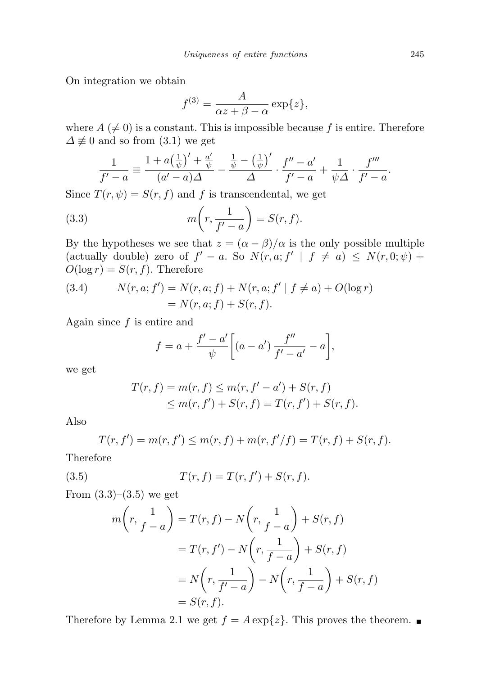On integration we obtain

$$
f^{(3)} = \frac{A}{\alpha z + \beta - \alpha} \exp\{z\},\,
$$

where  $A \neq 0$  is a constant. This is impossible because f is entire. Therefore  $\Delta \not\equiv 0$  and so from (3.1) we get

$$
\frac{1}{f'-a} \equiv \frac{1+a\left(\frac{1}{\psi}\right)'+\frac{a'}{\psi}}{(a'-a)\Delta} - \frac{\frac{1}{\psi}-\left(\frac{1}{\psi}\right)'}{\Delta} \cdot \frac{f''-a'}{f'-a} + \frac{1}{\psi\Delta} \cdot \frac{f'''}{f'-a}.
$$

Since  $T(r, \psi) = S(r, f)$  and f is transcendental, we get

(3.3) 
$$
m\left(r,\frac{1}{f'-a}\right) = S(r,f).
$$

By the hypotheses we see that  $z = (\alpha - \beta)/\alpha$  is the only possible multiple (actually double) zero of  $f' - a$ . So  $N(r, a; f' | f \neq a) \leq N(r, 0; \psi) +$  $O(\log r) = S(r, f)$ . Therefore

(3.4) 
$$
N(r, a; f') = N(r, a; f) + N(r, a; f' | f \neq a) + O(\log r)
$$

$$
= N(r, a; f) + S(r, f).
$$

Again since  $f$  is entire and

$$
f = a + \frac{f' - a'}{\psi} \bigg[ (a - a') \, \frac{f''}{f' - a'} - a \bigg],
$$

we get

$$
T(r, f) = m(r, f) \le m(r, f' - a') + S(r, f)
$$
  
 
$$
\le m(r, f') + S(r, f) = T(r, f') + S(r, f).
$$

Also

$$
T(r, f') = m(r, f') \le m(r, f) + m(r, f'/f) = T(r, f) + S(r, f).
$$

Therefore

(3.5) 
$$
T(r, f) = T(r, f') + S(r, f).
$$

From  $(3.3)$ – $(3.5)$  we get

$$
m\left(r, \frac{1}{f-a}\right) = T(r, f) - N\left(r, \frac{1}{f-a}\right) + S(r, f)
$$

$$
= T(r, f') - N\left(r, \frac{1}{f-a}\right) + S(r, f)
$$

$$
= N\left(r, \frac{1}{f'-a}\right) - N\left(r, \frac{1}{f-a}\right) + S(r, f)
$$

$$
= S(r, f).
$$

Therefore by Lemma 2.1 we get  $f = A \exp\{z\}$ . This proves the theorem.